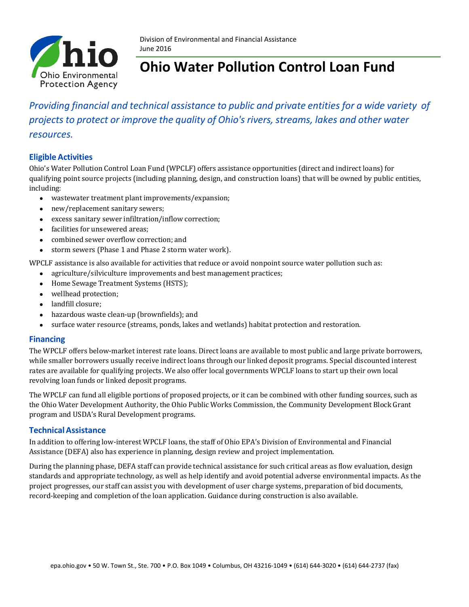

# **Ohio Water Pollution Control Loan Fund**

### *Providing financial and technical assistance to public and private entities for a wide variety of projects to protect or improve the quality of Ohio's rivers,streams, lakes and other water resources.*

### **Eligible Activities**

Ohio's Water Pollution Control Loan Fund (WPCLF) offers assistance opportunities (direct and indirect loans) for qualifying point source projects (including planning, design, and construction loans) that will be owned by public entities, including:

- wastewater treatment plant improvements/expansion;
- new/replacement sanitary sewers;
- excess sanitary sewer infiltration/inflow correction;
- facilities for unsewered areas;
- combined sewer overflow correction; and
- storm sewers (Phase 1 and Phase 2 storm water work).

WPCLF assistance is also available for activities that reduce or avoid nonpoint source water pollution such as:

- agriculture/silviculture improvements and best management practices;
- Home Sewage Treatment Systems (HSTS);
- wellhead protection;
- landfill closure;
- hazardous waste clean-up (brownfields); and
- surface water resource (streams, ponds, lakes and wetlands) habitat protection and restoration.

#### **Financing**

The WPCLF offers below-market interest rate loans. Direct loans are available to most public and large private borrowers, while smaller borrowers usually receive indirect loans through our linked deposit programs. Special discounted interest rates are available for qualifying projects. We also offer local governments WPCLF loans to start up their own local revolving loan funds or linked deposit programs.

The WPCLF can fund all eligible portions of proposed projects, or it can be combined with other funding sources, such as the Ohio Water Development Authority, the Ohio Public Works Commission, the Community Development Block Grant program and USDA's Rural Development programs.

#### **TechnicalAssistance**

In addition to offering low-interest WPCLF loans, the staff of Ohio EPA's Division of Environmental and Financial Assistance (DEFA) also has experience in planning, design review and project implementation.

During the planning phase, DEFA staff can provide technical assistance for such critical areas as flow evaluation, design standards and appropriate technology, as well as help identify and avoid potential adverse environmental impacts. As the project progresses, our staff can assist you with development of user charge systems, preparation of bid documents, record-keeping and completion of the loan application. Guidance during construction is also available.